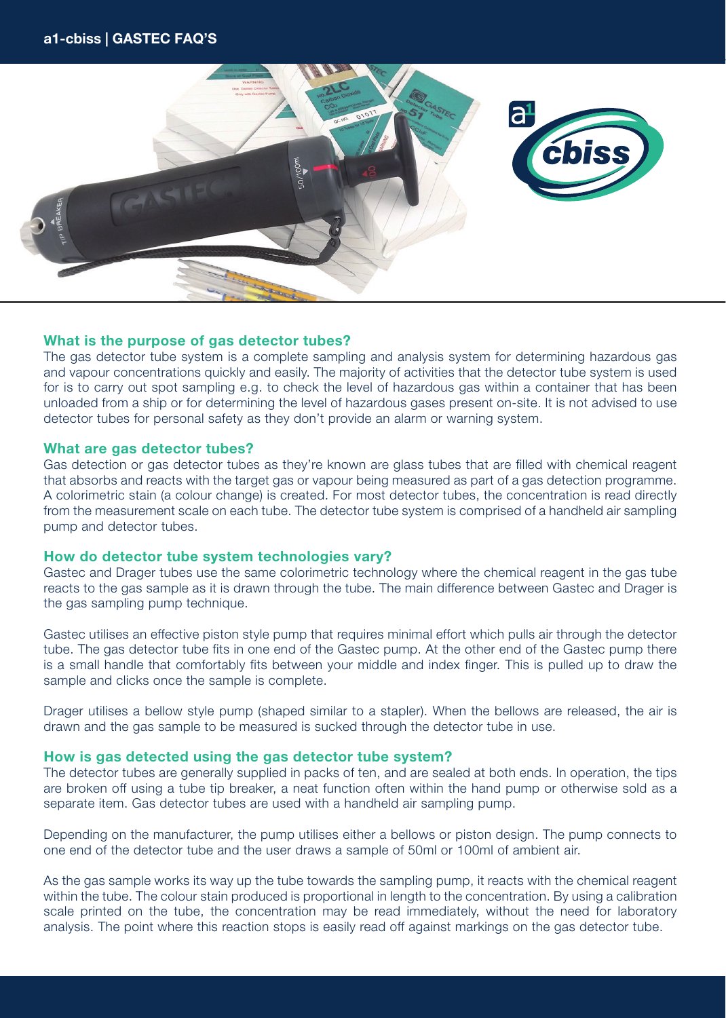

# What is the purpose of gas detector tubes?

The gas detector tube system is a complete sampling and analysis system for determining hazardous gas and vapour concentrations quickly and easily. The majority of activities that the detector tube system is used for is to carry out spot sampling e.g. to check the level of hazardous gas within a container that has been unloaded from a ship or for determining the level of hazardous gases present on-site. It is not advised to use detector tubes for personal safety as they don't provide an alarm or warning system.

## What are gas detector tubes?

Gas detection or gas detector tubes as they're known are glass tubes that are filled with chemical reagent that absorbs and reacts with the target gas or vapour being measured as part of a gas detection programme. A colorimetric stain (a colour change) is created. For most detector tubes, the concentration is read directly from the measurement scale on each tube. The detector tube system is comprised of a handheld air sampling pump and detector tubes.

## How do detector tube system technologies vary?

Gastec and Drager tubes use the same colorimetric technology where the chemical reagent in the gas tube reacts to the gas sample as it is drawn through the tube. The main difference between Gastec and Drager is the gas sampling pump technique.

Gastec utilises an effective piston style pump that requires minimal effort which pulls air through the detector tube. The gas detector tube fits in one end of the Gastec pump. At the other end of the Gastec pump there is a small handle that comfortably fits between your middle and index finger. This is pulled up to draw the sample and clicks once the sample is complete.

Drager utilises a bellow style pump (shaped similar to a stapler). When the bellows are released, the air is drawn and the gas sample to be measured is sucked through the detector tube in use.

## How is gas detected using the gas detector tube system?

The detector tubes are generally supplied in packs of ten, and are sealed at both ends. In operation, the tips are broken off using a tube tip breaker, a neat function often within the hand pump or otherwise sold as a separate item. Gas detector tubes are used with a handheld air sampling pump.

Depending on the manufacturer, the pump utilises either a bellows or piston design. The pump connects to one end of the detector tube and the user draws a sample of 50ml or 100ml of ambient air.

As the gas sample works its way up the tube towards the sampling pump, it reacts with the chemical reagent within the tube. The colour stain produced is proportional in length to the concentration. By using a calibration scale printed on the tube, the concentration may be read immediately, without the need for laboratory analysis. The point where this reaction stops is easily read off against markings on the gas detector tube.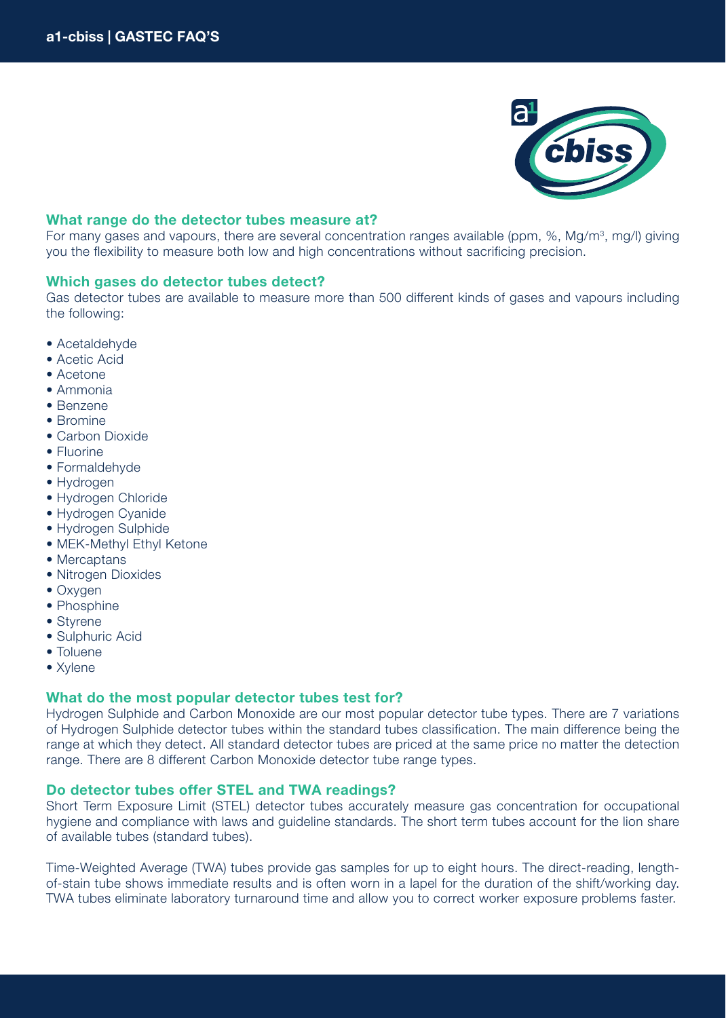

# What range do the detector tubes measure at?

For many gases and vapours, there are several concentration ranges available (ppm, %, Mg/m<sup>3</sup>, mg/l) giving you the flexibility to measure both low and high concentrations without sacrificing precision.

## Which gases do detector tubes detect?

Gas detector tubes are available to measure more than 500 different kinds of gases and vapours including the following:

- Acetaldehyde
- Acetic Acid
- Acetone
- Ammonia
- Benzene
- Bromine
- Carbon Dioxide
- Fluorine
- Formaldehyde
- Hydrogen
- Hydrogen Chloride
- Hydrogen Cyanide
- Hydrogen Sulphide
- MEK-Methyl Ethyl Ketone
- Mercaptans
- Nitrogen Dioxides
- Oxygen
- Phosphine
- Styrene
- Sulphuric Acid
- Toluene
- Xylene

# What do the most popular detector tubes test for?

Hydrogen Sulphide and Carbon Monoxide are our most popular detector tube types. There are 7 variations of Hydrogen Sulphide detector tubes within the standard tubes classification. The main difference being the range at which they detect. All standard detector tubes are priced at the same price no matter the detection range. There are 8 different Carbon Monoxide detector tube range types.

# Do detector tubes offer STEL and TWA readings?

Short Term Exposure Limit (STEL) detector tubes accurately measure gas concentration for occupational hygiene and compliance with laws and guideline standards. The short term tubes account for the lion share of available tubes (standard tubes).

Time-Weighted Average (TWA) tubes provide gas samples for up to eight hours. The direct-reading, lengthof-stain tube shows immediate results and is often worn in a lapel for the duration of the shift/working day. TWA tubes eliminate laboratory turnaround time and allow you to correct worker exposure problems faster.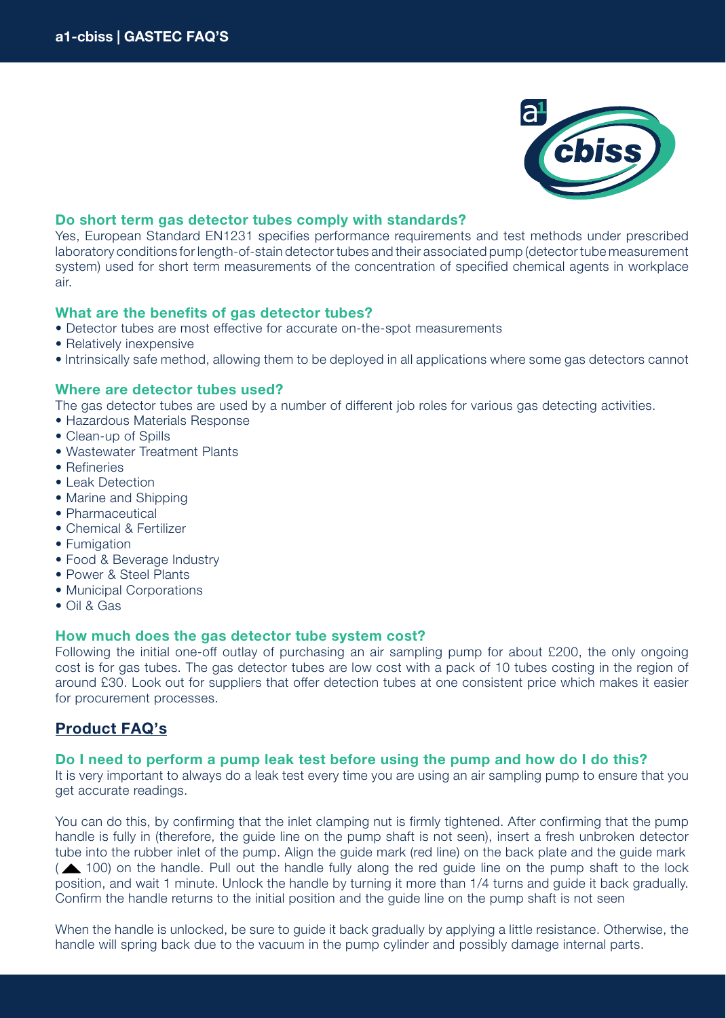

# Do short term gas detector tubes comply with standards?

Yes, European Standard EN1231 specifies performance requirements and test methods under prescribed laboratory conditions for length-of-stain detector tubes and their associated pump (detector tube measurement system) used for short term measurements of the concentration of specified chemical agents in workplace air.

# What are the benefits of gas detector tubes?

- Detector tubes are most effective for accurate on-the-spot measurements
- Relatively inexpensive
- Intrinsically safe method, allowing them to be deployed in all applications where some gas detectors cannot

# Where are detector tubes used?

The gas detector tubes are used by a number of different job roles for various gas detecting activities.

- Hazardous Materials Response
- Clean-up of Spills
- Wastewater Treatment Plants
- Refineries
- Leak Detection
- Marine and Shipping
- Pharmaceutical
- Chemical & Fertilizer
- Fumigation
- Food & Beverage Industry
- Power & Steel Plants
- Municipal Corporations
- Oil & Gas

## How much does the gas detector tube system cost?

Following the initial one-off outlay of purchasing an air sampling pump for about £200, the only ongoing cost is for gas tubes. The gas detector tubes are low cost with a pack of 10 tubes costing in the region of around £30. Look out for suppliers that offer detection tubes at one consistent price which makes it easier for procurement processes.

# Product FAQ's

## Do I need to perform a pump leak test before using the pump and how do I do this?

It is very important to always do a leak test every time you are using an air sampling pump to ensure that you get accurate readings.

You can do this, by confirming that the inlet clamping nut is firmly tightened. After confirming that the pump handle is fully in (therefore, the guide line on the pump shaft is not seen), insert a fresh unbroken detector tube into the rubber inlet of the pump. Align the guide mark (red line) on the back plate and the guide mark ( 100) on the handle. Pull out the handle fully along the red guide line on the pump shaft to the lock position, and wait 1 minute. Unlock the handle by turning it more than 1/4 turns and guide it back gradually. Confirm the handle returns to the initial position and the guide line on the pump shaft is not seen

When the handle is unlocked, be sure to guide it back gradually by applying a little resistance. Otherwise, the handle will spring back due to the vacuum in the pump cylinder and possibly damage internal parts.